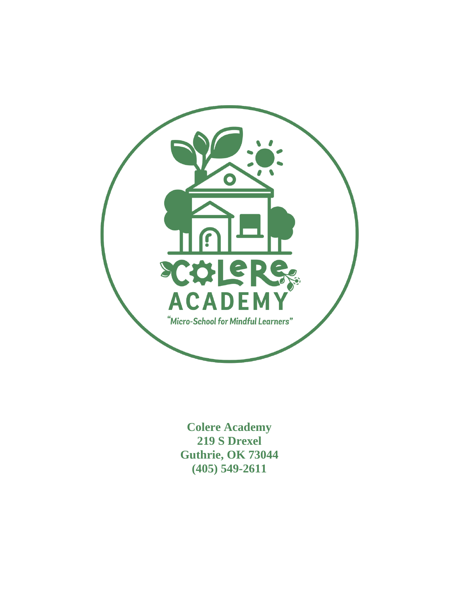

**Colere Academy 219 S Drexel Guthrie, OK 73044 (405) 549-2611**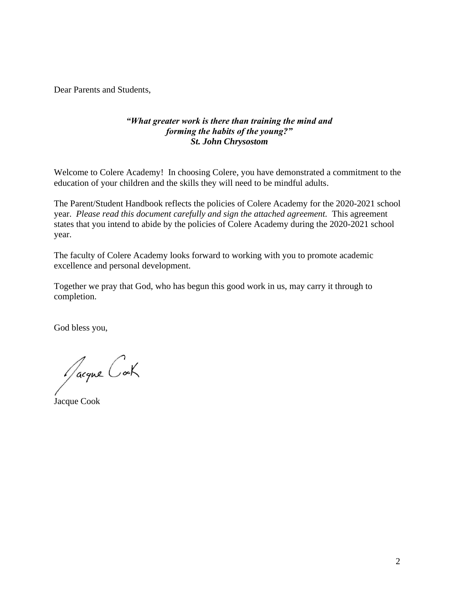Dear Parents and Students,

#### *"What greater work is there than training the mind and forming the habits of the young?" St. John Chrysostom*

Welcome to Colere Academy! In choosing Colere, you have demonstrated a commitment to the education of your children and the skills they will need to be mindful adults.

The Parent/Student Handbook reflects the policies of Colere Academy for the 2020-2021 school year. *Please read this document carefully and sign the attached agreement.* This agreement states that you intend to abide by the policies of Colere Academy during the 2020-2021 school year.

The faculty of Colere Academy looks forward to working with you to promote academic excellence and personal development.

Together we pray that God, who has begun this good work in us, may carry it through to completion.

God bless you,

Jacque Cock

Jacque Cook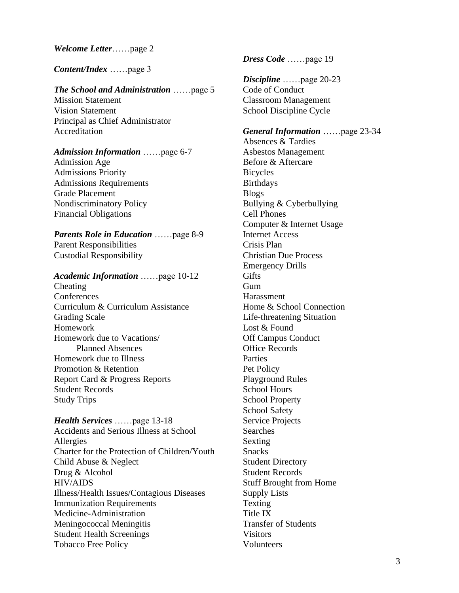*Welcome Letter*……page 2

*Content/Index* ……page 3

#### *The School and Administration* ……page 5

Mission Statement Vision Statement Principal as Chief Administrator Accreditation

#### *Admission Information* ……page 6-7

Admission Age Admissions Priority Admissions Requirements Grade Placement Nondiscriminatory Policy Financial Obligations

*Parents Role in Education* ……page 8-9 Parent Responsibilities Custodial Responsibility

#### *Academic Information* ……page 10-12

Cheating **Conferences** Curriculum & Curriculum Assistance Grading Scale Homework Homework due to Vacations/ Planned Absences Homework due to Illness Promotion & Retention Report Card & Progress Reports Student Records Study Trips

*Health Services* ……page 13-18 Accidents and Serious Illness at School Allergies Charter for the Protection of Children/Youth Child Abuse & Neglect Drug & Alcohol HIV/AIDS Illness/Health Issues/Contagious Diseases Immunization Requirements Medicine-Administration Meningococcal Meningitis Student Health Screenings Tobacco Free Policy

*Dress Code* ……page 19

*Discipline* ……page 20-23 Code of Conduct Classroom Management School Discipline Cycle

#### *General Information* ……page 23-34 Absences & Tardies

Asbestos Management Before & Aftercare Bicycles Birthdays Blogs Bullying & Cyberbullying Cell Phones Computer & Internet Usage Internet Access Crisis Plan Christian Due Process Emergency Drills **Gifts** Gum Harassment Home & School Connection Life-threatening Situation Lost & Found Off Campus Conduct Office Records Parties Pet Policy Playground Rules School Hours School Property School Safety Service Projects Searches Sexting **Snacks** Student Directory Student Records Stuff Brought from Home Supply Lists Texting Title IX Transfer of Students Visitors Volunteers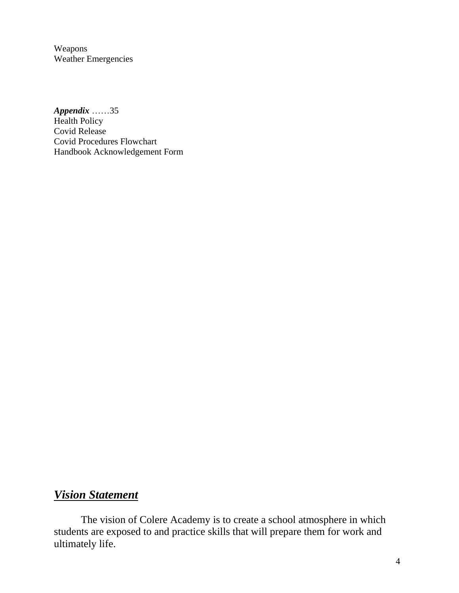Weapons Weather Emergencies

*Appendix* ……35 Health Policy Covid Release Covid Procedures Flowchart Handbook Acknowledgement Form

## *Vision Statement*

The vision of Colere Academy is to create a school atmosphere in which students are exposed to and practice skills that will prepare them for work and ultimately life.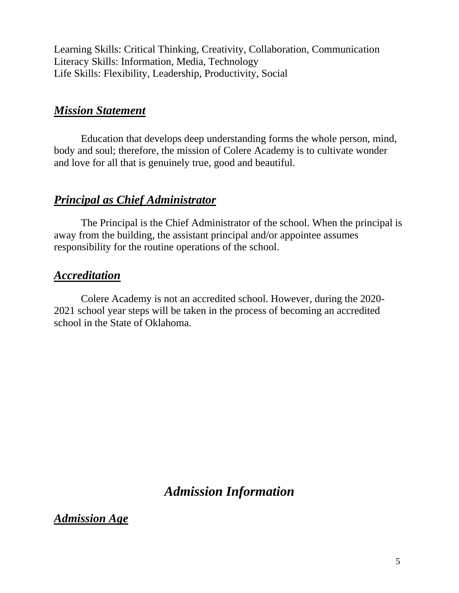Learning Skills: Critical Thinking, Creativity, Collaboration, Communication Literacy Skills: Information, Media, Technology Life Skills: Flexibility, Leadership, Productivity, Social

### *Mission Statement*

Education that develops deep understanding forms the whole person, mind, body and soul; therefore, the mission of Colere Academy is to cultivate wonder and love for all that is genuinely true, good and beautiful.

## *Principal as Chief Administrator*

The Principal is the Chief Administrator of the school. When the principal is away from the building, the assistant principal and/or appointee assumes responsibility for the routine operations of the school.

### *Accreditation*

Colere Academy is not an accredited school. However, during the 2020- 2021 school year steps will be taken in the process of becoming an accredited school in the State of Oklahoma.

## *Admission Information*

*Admission Age*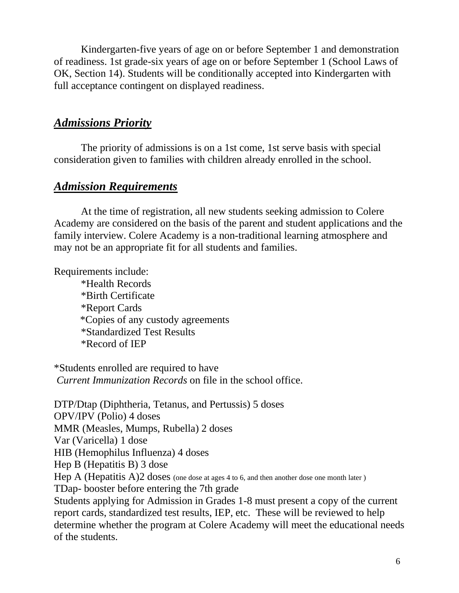Kindergarten-five years of age on or before September 1 and demonstration of readiness. 1st grade-six years of age on or before September 1 (School Laws of OK, Section 14). Students will be conditionally accepted into Kindergarten with full acceptance contingent on displayed readiness.

### *Admissions Priority*

The priority of admissions is on a 1st come, 1st serve basis with special consideration given to families with children already enrolled in the school.

### *Admission Requirements*

At the time of registration, all new students seeking admission to Colere Academy are considered on the basis of the parent and student applications and the family interview. Colere Academy is a non-traditional learning atmosphere and may not be an appropriate fit for all students and families.

Requirements include:

\*Health Records \*Birth Certificate \*Report Cards \*Copies of any custody agreements \*Standardized Test Results \*Record of IEP

\*Students enrolled are required to have *Current Immunization Records* on file in the school office.

DTP/Dtap (Diphtheria, Tetanus, and Pertussis) 5 doses OPV/IPV (Polio) 4 doses MMR (Measles, Mumps, Rubella) 2 doses Var (Varicella) 1 dose HIB (Hemophilus Influenza) 4 doses Hep B (Hepatitis B) 3 dose Hep A (Hepatitis A)2 doses (one dose at ages 4 to 6, and then another dose one month later) TDap- booster before entering the 7th grade Students applying for Admission in Grades 1-8 must present a copy of the current report cards, standardized test results, IEP, etc. These will be reviewed to help determine whether the program at Colere Academy will meet the educational needs of the students.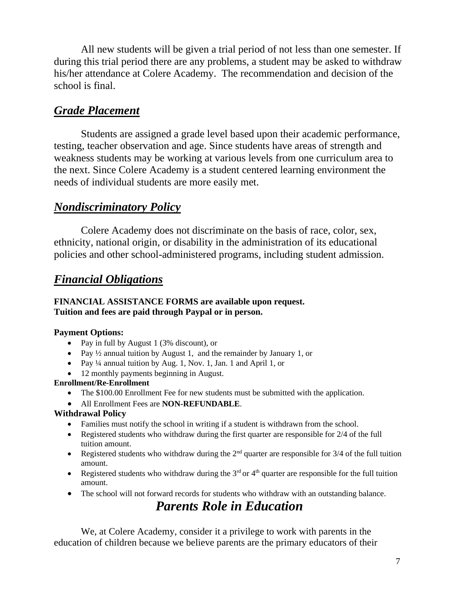All new students will be given a trial period of not less than one semester. If during this trial period there are any problems, a student may be asked to withdraw his/her attendance at Colere Academy. The recommendation and decision of the school is final.

### *Grade Placement*

Students are assigned a grade level based upon their academic performance, testing, teacher observation and age. Since students have areas of strength and weakness students may be working at various levels from one curriculum area to the next. Since Colere Academy is a student centered learning environment the needs of individual students are more easily met.

### *Nondiscriminatory Policy*

Colere Academy does not discriminate on the basis of race, color, sex, ethnicity, national origin, or disability in the administration of its educational policies and other school-administered programs, including student admission.

### *Financial Obligations*

#### **FINANCIAL ASSISTANCE FORMS are available upon request. Tuition and fees are paid through Paypal or in person.**

#### **Payment Options:**

- Pay in full by August 1 (3% discount), or
- Pay  $\frac{1}{2}$  annual tuition by August 1, and the remainder by January 1, or
- Pay ¼ annual tuition by Aug. 1, Nov. 1, Jan. 1 and April 1, or
- 12 monthly payments beginning in August.

#### **Enrollment/Re-Enrollment**

- The \$100.00 Enrollment Fee for new students must be submitted with the application.
- All Enrollment Fees are **NON-REFUNDABLE**.

#### **Withdrawal Policy**

- Families must notify the school in writing if a student is withdrawn from the school.
- Registered students who withdraw during the first quarter are responsible for 2/4 of the full tuition amount.
- Registered students who withdraw during the  $2<sup>nd</sup>$  quarter are responsible for  $3/4$  of the full tuition amount.
- Registered students who withdraw during the  $3<sup>rd</sup>$  or  $4<sup>th</sup>$  quarter are responsible for the full tuition amount.
- The school will not forward records for students who withdraw with an outstanding balance.

## *Parents Role in Education*

We, at Colere Academy, consider it a privilege to work with parents in the education of children because we believe parents are the primary educators of their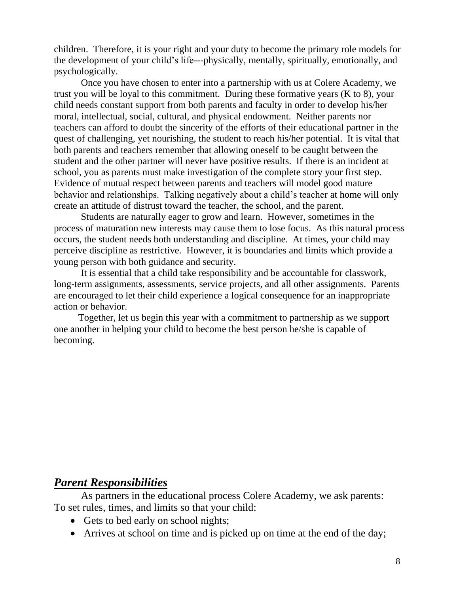children. Therefore, it is your right and your duty to become the primary role models for the development of your child's life---physically, mentally, spiritually, emotionally, and psychologically.

Once you have chosen to enter into a partnership with us at Colere Academy, we trust you will be loyal to this commitment. During these formative years (K to 8), your child needs constant support from both parents and faculty in order to develop his/her moral, intellectual, social, cultural, and physical endowment. Neither parents nor teachers can afford to doubt the sincerity of the efforts of their educational partner in the quest of challenging, yet nourishing, the student to reach his/her potential. It is vital that both parents and teachers remember that allowing oneself to be caught between the student and the other partner will never have positive results. If there is an incident at school, you as parents must make investigation of the complete story your first step. Evidence of mutual respect between parents and teachers will model good mature behavior and relationships. Talking negatively about a child's teacher at home will only create an attitude of distrust toward the teacher, the school, and the parent.

Students are naturally eager to grow and learn. However, sometimes in the process of maturation new interests may cause them to lose focus. As this natural process occurs, the student needs both understanding and discipline. At times, your child may perceive discipline as restrictive. However, it is boundaries and limits which provide a young person with both guidance and security.

It is essential that a child take responsibility and be accountable for classwork, long-term assignments, assessments, service projects, and all other assignments. Parents are encouraged to let their child experience a logical consequence for an inappropriate action or behavior.

 Together, let us begin this year with a commitment to partnership as we support one another in helping your child to become the best person he/she is capable of becoming.

### *Parent Responsibilities*

As partners in the educational process Colere Academy, we ask parents: To set rules, times, and limits so that your child:

- Gets to bed early on school nights;
- Arrives at school on time and is picked up on time at the end of the day;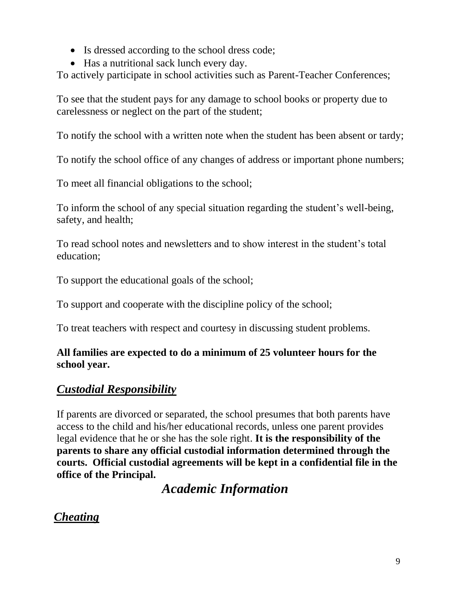- Is dressed according to the school dress code;
- Has a nutritional sack lunch every day.

To actively participate in school activities such as Parent-Teacher Conferences;

To see that the student pays for any damage to school books or property due to carelessness or neglect on the part of the student;

To notify the school with a written note when the student has been absent or tardy;

To notify the school office of any changes of address or important phone numbers;

To meet all financial obligations to the school;

To inform the school of any special situation regarding the student's well-being, safety, and health;

To read school notes and newsletters and to show interest in the student's total education;

To support the educational goals of the school;

To support and cooperate with the discipline policy of the school;

To treat teachers with respect and courtesy in discussing student problems.

### **All families are expected to do a minimum of 25 volunteer hours for the school year.**

## *Custodial Responsibility*

If parents are divorced or separated, the school presumes that both parents have access to the child and his/her educational records, unless one parent provides legal evidence that he or she has the sole right. **It is the responsibility of the parents to share any official custodial information determined through the courts. Official custodial agreements will be kept in a confidential file in the office of the Principal.**

*Academic Information*

## *Cheating*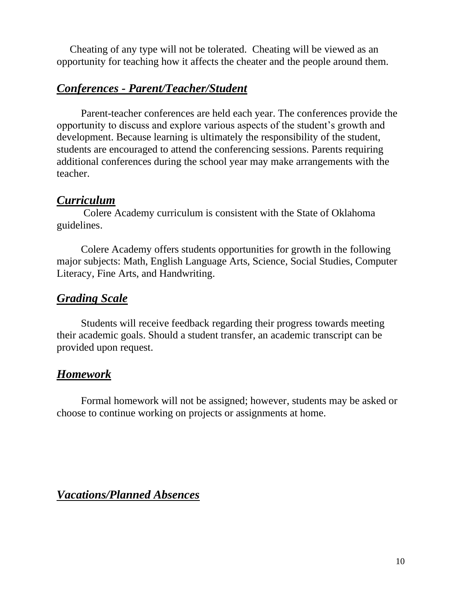Cheating of any type will not be tolerated. Cheating will be viewed as an opportunity for teaching how it affects the cheater and the people around them.

## *Conferences - Parent/Teacher/Student*

Parent-teacher conferences are held each year. The conferences provide the opportunity to discuss and explore various aspects of the student's growth and development. Because learning is ultimately the responsibility of the student, students are encouraged to attend the conferencing sessions. Parents requiring additional conferences during the school year may make arrangements with the teacher.

### *Curriculum*

Colere Academy curriculum is consistent with the State of Oklahoma guidelines.

Colere Academy offers students opportunities for growth in the following major subjects: Math, English Language Arts, Science, Social Studies, Computer Literacy, Fine Arts, and Handwriting.

### *Grading Scale*

Students will receive feedback regarding their progress towards meeting their academic goals. Should a student transfer, an academic transcript can be provided upon request.

## *Homework*

Formal homework will not be assigned; however, students may be asked or choose to continue working on projects or assignments at home.

### *Vacations/Planned Absences*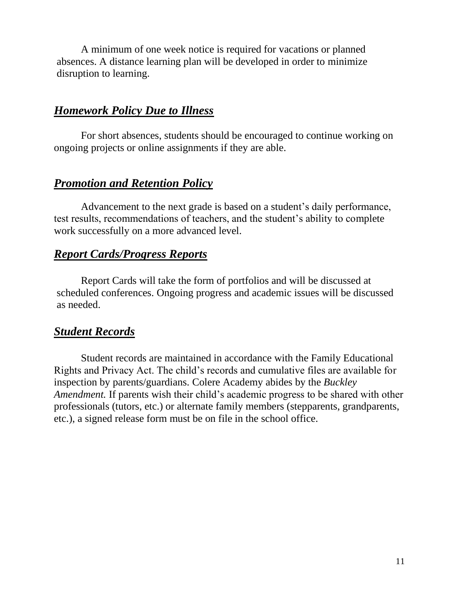A minimum of one week notice is required for vacations or planned absences. A distance learning plan will be developed in order to minimize disruption to learning.

### *Homework Policy Due to Illness*

For short absences, students should be encouraged to continue working on ongoing projects or online assignments if they are able.

### *Promotion and Retention Policy*

Advancement to the next grade is based on a student's daily performance, test results, recommendations of teachers, and the student's ability to complete work successfully on a more advanced level.

### *Report Cards/Progress Reports*

Report Cards will take the form of portfolios and will be discussed at scheduled conferences. Ongoing progress and academic issues will be discussed as needed.

### *Student Records*

Student records are maintained in accordance with the Family Educational Rights and Privacy Act. The child's records and cumulative files are available for inspection by parents/guardians. Colere Academy abides by the *Buckley Amendment.* If parents wish their child's academic progress to be shared with other professionals (tutors, etc.) or alternate family members (stepparents, grandparents, etc.), a signed release form must be on file in the school office.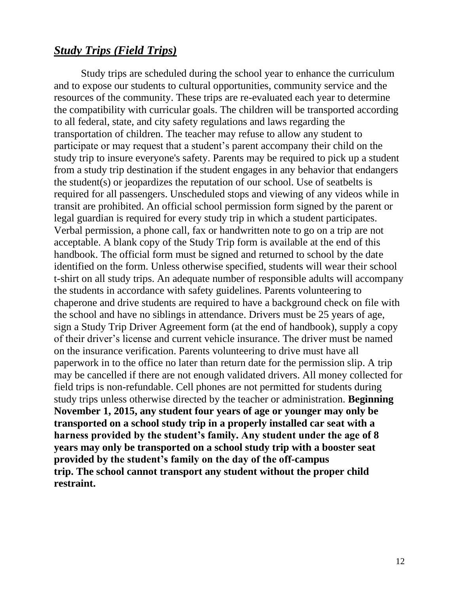### *Study Trips (Field Trips)*

Study trips are scheduled during the school year to enhance the curriculum and to expose our students to cultural opportunities, community service and the resources of the community. These trips are re-evaluated each year to determine the compatibility with curricular goals. The children will be transported according to all federal, state, and city safety regulations and laws regarding the transportation of children. The teacher may refuse to allow any student to participate or may request that a student's parent accompany their child on the study trip to insure everyone's safety. Parents may be required to pick up a student from a study trip destination if the student engages in any behavior that endangers the student(s) or jeopardizes the reputation of our school. Use of seatbelts is required for all passengers. Unscheduled stops and viewing of any videos while in transit are prohibited. An official school permission form signed by the parent or legal guardian is required for every study trip in which a student participates. Verbal permission, a phone call, fax or handwritten note to go on a trip are not acceptable. A blank copy of the Study Trip form is available at the end of this handbook. The official form must be signed and returned to school by the date identified on the form. Unless otherwise specified, students will wear their school t-shirt on all study trips. An adequate number of responsible adults will accompany the students in accordance with safety guidelines. Parents volunteering to chaperone and drive students are required to have a background check on file with the school and have no siblings in attendance. Drivers must be 25 years of age, sign a Study Trip Driver Agreement form (at the end of handbook), supply a copy of their driver's license and current vehicle insurance. The driver must be named on the insurance verification. Parents volunteering to drive must have all paperwork in to the office no later than return date for the permission slip. A trip may be cancelled if there are not enough validated drivers. All money collected for field trips is non-refundable. Cell phones are not permitted for students during study trips unless otherwise directed by the teacher or administration. **Beginning November 1, 2015, any student four years of age or younger may only be transported on a school study trip in a properly installed car seat with a harness provided by the student's family. Any student under the age of 8 years may only be transported on a school study trip with a booster seat provided by the student's family on the day of the off-campus trip. The school cannot transport any student without the proper child restraint.**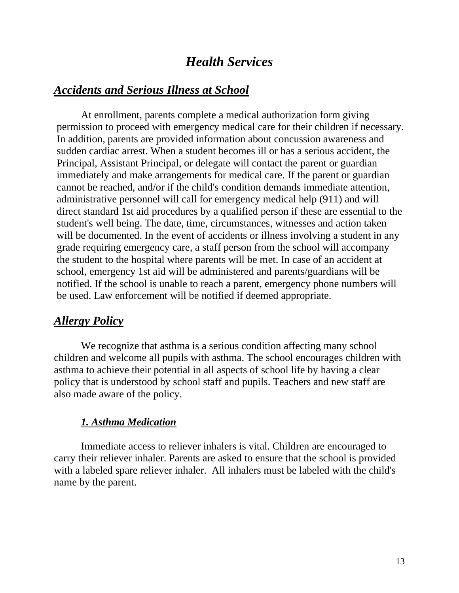## *Health Services*

#### *Accidents and Serious Illness at School*

At enrollment, parents complete a medical authorization form giving permission to proceed with emergency medical care for their children if necessary. In addition, parents are provided information about concussion awareness and sudden cardiac arrest. When a student becomes ill or has a serious accident, the Principal, Assistant Principal, or delegate will contact the parent or guardian immediately and make arrangements for medical care. If the parent or guardian cannot be reached, and/or if the child's condition demands immediate attention, administrative personnel will call for emergency medical help (911) and will direct standard 1st aid procedures by a qualified person if these are essential to the student's well being. The date, time, circumstances, witnesses and action taken will be documented. In the event of accidents or illness involving a student in any grade requiring emergency care, a staff person from the school will accompany the student to the hospital where parents will be met. In case of an accident at school, emergency 1st aid will be administered and parents/guardians will be notified. If the school is unable to reach a parent, emergency phone numbers will be used. Law enforcement will be notified if deemed appropriate.

### *Allergy Policy*

We recognize that asthma is a serious condition affecting many school children and welcome all pupils with asthma. The school encourages children with asthma to achieve their potential in all aspects of school life by having a clear policy that is understood by school staff and pupils. Teachers and new staff are also made aware of the policy.

#### *1. Asthma Medication*

Immediate access to reliever inhalers is vital. Children are encouraged to carry their reliever inhaler. Parents are asked to ensure that the school is provided with a labeled spare reliever inhaler. All inhalers must be labeled with the child's name by the parent.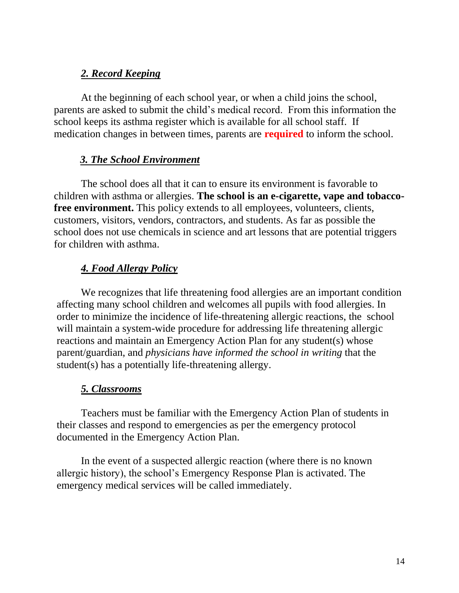### *2. Record Keeping*

At the beginning of each school year, or when a child joins the school, parents are asked to submit the child's medical record. From this information the school keeps its asthma register which is available for all school staff. If medication changes in between times, parents are **required** to inform the school.

#### *3. The School Environment*

The school does all that it can to ensure its environment is favorable to children with asthma or allergies. **The school is an e-cigarette, vape and tobaccofree environment.** This policy extends to all employees, volunteers, clients, customers, visitors, vendors, contractors, and students. As far as possible the school does not use chemicals in science and art lessons that are potential triggers for children with asthma.

### *4. Food Allergy Policy*

We recognizes that life threatening food allergies are an important condition affecting many school children and welcomes all pupils with food allergies. In order to minimize the incidence of life-threatening allergic reactions, the school will maintain a system-wide procedure for addressing life threatening allergic reactions and maintain an Emergency Action Plan for any student(s) whose parent/guardian, and *physicians have informed the school in writing* that the student(s) has a potentially life-threatening allergy.

### *5. Classrooms*

Teachers must be familiar with the Emergency Action Plan of students in their classes and respond to emergencies as per the emergency protocol documented in the Emergency Action Plan.

In the event of a suspected allergic reaction (where there is no known allergic history), the school's Emergency Response Plan is activated. The emergency medical services will be called immediately.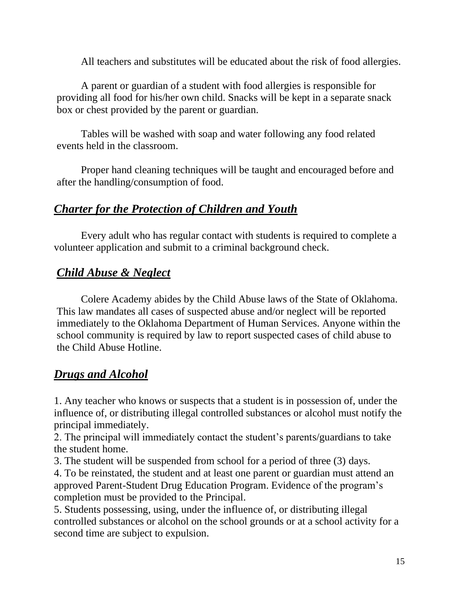All teachers and substitutes will be educated about the risk of food allergies.

A parent or guardian of a student with food allergies is responsible for providing all food for his/her own child. Snacks will be kept in a separate snack box or chest provided by the parent or guardian.

Tables will be washed with soap and water following any food related events held in the classroom.

Proper hand cleaning techniques will be taught and encouraged before and after the handling/consumption of food.

### *Charter for the Protection of Children and Youth*

Every adult who has regular contact with students is required to complete a volunteer application and submit to a criminal background check.

## *Child Abuse & Neglect*

Colere Academy abides by the Child Abuse laws of the State of Oklahoma. This law mandates all cases of suspected abuse and/or neglect will be reported immediately to the Oklahoma Department of Human Services. Anyone within the school community is required by law to report suspected cases of child abuse to the Child Abuse Hotline.

## *Drugs and Alcohol*

1. Any teacher who knows or suspects that a student is in possession of, under the influence of, or distributing illegal controlled substances or alcohol must notify the principal immediately.

2. The principal will immediately contact the student's parents/guardians to take the student home.

3. The student will be suspended from school for a period of three (3) days.

4. To be reinstated, the student and at least one parent or guardian must attend an approved Parent-Student Drug Education Program. Evidence of the program's completion must be provided to the Principal.

5. Students possessing, using, under the influence of, or distributing illegal controlled substances or alcohol on the school grounds or at a school activity for a second time are subject to expulsion.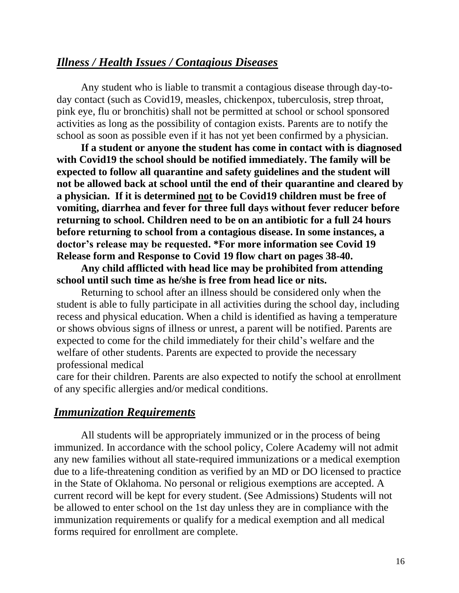### *Illness / Health Issues / Contagious Diseases*

Any student who is liable to transmit a contagious disease through day-today contact (such as Covid19, measles, chickenpox, tuberculosis, strep throat, pink eye, flu or bronchitis) shall not be permitted at school or school sponsored activities as long as the possibility of contagion exists. Parents are to notify the school as soon as possible even if it has not yet been confirmed by a physician.

**If a student or anyone the student has come in contact with is diagnosed with Covid19 the school should be notified immediately. The family will be expected to follow all quarantine and safety guidelines and the student will not be allowed back at school until the end of their quarantine and cleared by a physician. If it is determined not to be Covid19 children must be free of vomiting, diarrhea and fever for three full days without fever reducer before returning to school. Children need to be on an antibiotic for a full 24 hours before returning to school from a contagious disease. In some instances, a doctor's release may be requested. \*For more information see Covid 19 Release form and Response to Covid 19 flow chart on pages 38-40.**

**Any child afflicted with head lice may be prohibited from attending school until such time as he/she is free from head lice or nits.**

Returning to school after an illness should be considered only when the student is able to fully participate in all activities during the school day, including recess and physical education. When a child is identified as having a temperature or shows obvious signs of illness or unrest, a parent will be notified. Parents are expected to come for the child immediately for their child's welfare and the welfare of other students. Parents are expected to provide the necessary professional medical

care for their children. Parents are also expected to notify the school at enrollment of any specific allergies and/or medical conditions.

#### *Immunization Requirements*

All students will be appropriately immunized or in the process of being immunized. In accordance with the school policy, Colere Academy will not admit any new families without all state-required immunizations or a medical exemption due to a life-threatening condition as verified by an MD or DO licensed to practice in the State of Oklahoma. No personal or religious exemptions are accepted. A current record will be kept for every student. (See Admissions) Students will not be allowed to enter school on the 1st day unless they are in compliance with the immunization requirements or qualify for a medical exemption and all medical forms required for enrollment are complete.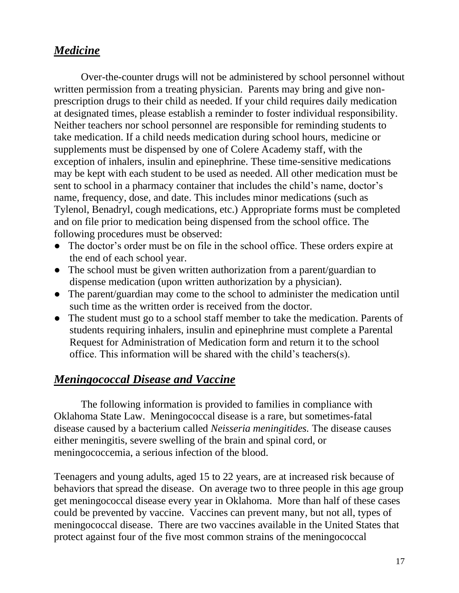### *Medicine*

Over-the-counter drugs will not be administered by school personnel without written permission from a treating physician. Parents may bring and give nonprescription drugs to their child as needed. If your child requires daily medication at designated times, please establish a reminder to foster individual responsibility. Neither teachers nor school personnel are responsible for reminding students to take medication. If a child needs medication during school hours, medicine or supplements must be dispensed by one of Colere Academy staff, with the exception of inhalers, insulin and epinephrine. These time-sensitive medications may be kept with each student to be used as needed. All other medication must be sent to school in a pharmacy container that includes the child's name, doctor's name, frequency, dose, and date. This includes minor medications (such as Tylenol, Benadryl, cough medications, etc.) Appropriate forms must be completed and on file prior to medication being dispensed from the school office. The following procedures must be observed:

- The doctor's order must be on file in the school office. These orders expire at the end of each school year.
- The school must be given written authorization from a parent/guardian to dispense medication (upon written authorization by a physician).
- The parent/guardian may come to the school to administer the medication until such time as the written order is received from the doctor.
- The student must go to a school staff member to take the medication. Parents of students requiring inhalers, insulin and epinephrine must complete a Parental Request for Administration of Medication form and return it to the school office. This information will be shared with the child's teachers(s).

### *Meningococcal Disease and Vaccine*

The following information is provided to families in compliance with Oklahoma State Law. Meningococcal disease is a rare, but sometimes-fatal disease caused by a bacterium called *Neisseria meningitides.* The disease causes either meningitis, severe swelling of the brain and spinal cord, or meningococcemia, a serious infection of the blood.

Teenagers and young adults, aged 15 to 22 years, are at increased risk because of behaviors that spread the disease. On average two to three people in this age group get meningococcal disease every year in Oklahoma. More than half of these cases could be prevented by vaccine. Vaccines can prevent many, but not all, types of meningococcal disease. There are two vaccines available in the United States that protect against four of the five most common strains of the meningococcal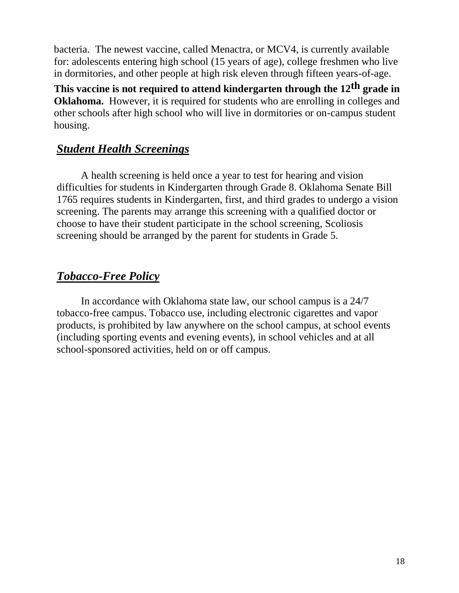bacteria. The newest vaccine, called Menactra, or MCV4, is currently available for: adolescents entering high school (15 years of age), college freshmen who live in dormitories, and other people at high risk eleven through fifteen years-of-age.

**This vaccine is not required to attend kindergarten through the 12th grade in Oklahoma.** However, it is required for students who are enrolling in colleges and other schools after high school who will live in dormitories or on-campus student housing.

### *Student Health Screenings*

A health screening is held once a year to test for hearing and vision difficulties for students in Kindergarten through Grade 8. Oklahoma Senate Bill 1765 requires students in Kindergarten, first, and third grades to undergo a vision screening. The parents may arrange this screening with a qualified doctor or choose to have their student participate in the school screening, Scoliosis screening should be arranged by the parent for students in Grade 5.

### *Tobacco-Free Policy*

In accordance with Oklahoma state law, our school campus is a 24/7 tobacco-free campus. Tobacco use, including electronic cigarettes and vapor products, is prohibited by law anywhere on the school campus, at school events (including sporting events and evening events), in school vehicles and at all school-sponsored activities, held on or off campus.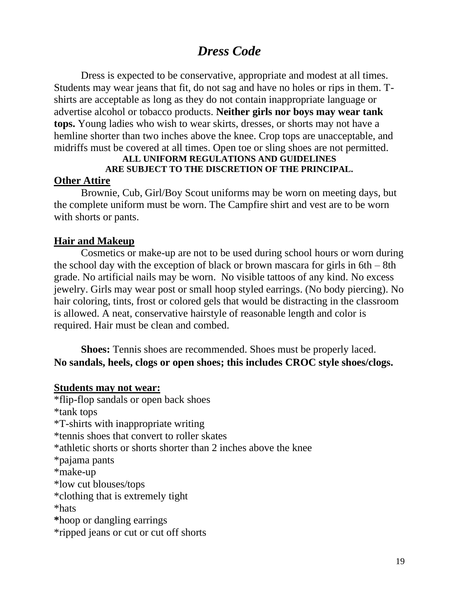## *Dress Code*

Dress is expected to be conservative, appropriate and modest at all times. Students may wear jeans that fit, do not sag and have no holes or rips in them. Tshirts are acceptable as long as they do not contain inappropriate language or advertise alcohol or tobacco products. **Neither girls nor boys may wear tank tops.** Young ladies who wish to wear skirts, dresses, or shorts may not have a hemline shorter than two inches above the knee. Crop tops are unacceptable, and midriffs must be covered at all times. Open toe or sling shoes are not permitted.

## **ALL UNIFORM REGULATIONS AND GUIDELINES ARE SUBJECT TO THE DISCRETION OF THE PRINCIPAL.**

#### **Other Attire**

Brownie, Cub, Girl/Boy Scout uniforms may be worn on meeting days, but the complete uniform must be worn. The Campfire shirt and vest are to be worn with shorts or pants.

#### **Hair and Makeup**

Cosmetics or make-up are not to be used during school hours or worn during the school day with the exception of black or brown mascara for girls in 6th – 8th grade. No artificial nails may be worn. No visible tattoos of any kind. No excess jewelry. Girls may wear post or small hoop styled earrings. (No body piercing). No hair coloring, tints, frost or colored gels that would be distracting in the classroom is allowed. A neat, conservative hairstyle of reasonable length and color is required. Hair must be clean and combed.

**Shoes:** Tennis shoes are recommended. Shoes must be properly laced. **No sandals, heels, clogs or open shoes; this includes CROC style shoes/clogs.** 

#### **Students may not wear:**

\*flip-flop sandals or open back shoes \*tank tops \*T-shirts with inappropriate writing \*tennis shoes that convert to roller skates \*athletic shorts or shorts shorter than 2 inches above the knee \*pajama pants \*make-up \*low cut blouses/tops \*clothing that is extremely tight \*hats **\***hoop or dangling earrings \*ripped jeans or cut or cut off shorts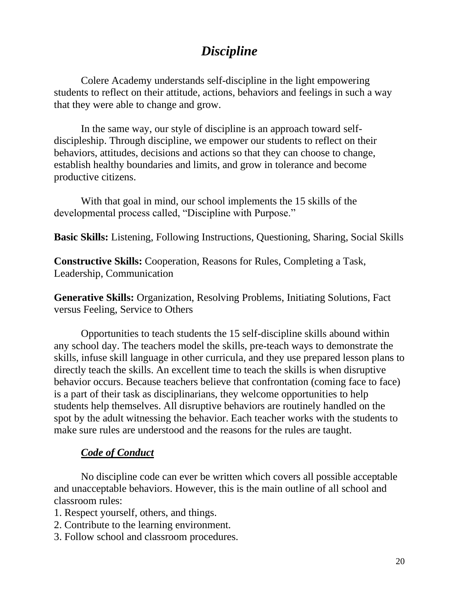## *Discipline*

Colere Academy understands self-discipline in the light empowering students to reflect on their attitude, actions, behaviors and feelings in such a way that they were able to change and grow.

In the same way, our style of discipline is an approach toward selfdiscipleship. Through discipline, we empower our students to reflect on their behaviors, attitudes, decisions and actions so that they can choose to change, establish healthy boundaries and limits, and grow in tolerance and become productive citizens.

With that goal in mind, our school implements the 15 skills of the developmental process called, "Discipline with Purpose."

**Basic Skills:** Listening, Following Instructions, Questioning, Sharing, Social Skills

**Constructive Skills:** Cooperation, Reasons for Rules, Completing a Task, Leadership, Communication

**Generative Skills:** Organization, Resolving Problems, Initiating Solutions, Fact versus Feeling, Service to Others

Opportunities to teach students the 15 self-discipline skills abound within any school day. The teachers model the skills, pre-teach ways to demonstrate the skills, infuse skill language in other curricula, and they use prepared lesson plans to directly teach the skills. An excellent time to teach the skills is when disruptive behavior occurs. Because teachers believe that confrontation (coming face to face) is a part of their task as disciplinarians, they welcome opportunities to help students help themselves. All disruptive behaviors are routinely handled on the spot by the adult witnessing the behavior. Each teacher works with the students to make sure rules are understood and the reasons for the rules are taught.

### *Code of Conduct*

No discipline code can ever be written which covers all possible acceptable and unacceptable behaviors. However, this is the main outline of all school and classroom rules:

- 1. Respect yourself, others, and things.
- 2. Contribute to the learning environment.
- 3. Follow school and classroom procedures.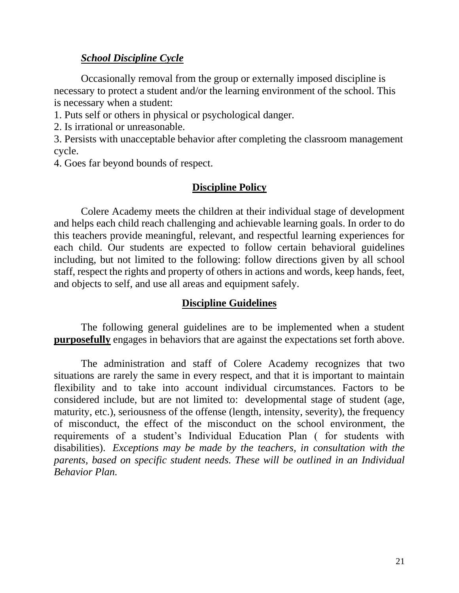#### *School Discipline Cycle*

Occasionally removal from the group or externally imposed discipline is necessary to protect a student and/or the learning environment of the school. This is necessary when a student:

1. Puts self or others in physical or psychological danger.

2. Is irrational or unreasonable.

3. Persists with unacceptable behavior after completing the classroom management cycle.

4. Goes far beyond bounds of respect.

#### **Discipline Policy**

Colere Academy meets the children at their individual stage of development and helps each child reach challenging and achievable learning goals. In order to do this teachers provide meaningful, relevant, and respectful learning experiences for each child. Our students are expected to follow certain behavioral guidelines including, but not limited to the following: follow directions given by all school staff, respect the rights and property of others in actions and words, keep hands, feet, and objects to self, and use all areas and equipment safely.

#### **Discipline Guidelines**

The following general guidelines are to be implemented when a student **purposefully** engages in behaviors that are against the expectations set forth above.

The administration and staff of Colere Academy recognizes that two situations are rarely the same in every respect, and that it is important to maintain flexibility and to take into account individual circumstances. Factors to be considered include, but are not limited to: developmental stage of student (age, maturity, etc.), seriousness of the offense (length, intensity, severity), the frequency of misconduct, the effect of the misconduct on the school environment, the requirements of a student's Individual Education Plan ( for students with disabilities). *Exceptions may be made by the teachers, in consultation with the parents, based on specific student needs. These will be outlined in an Individual Behavior Plan.*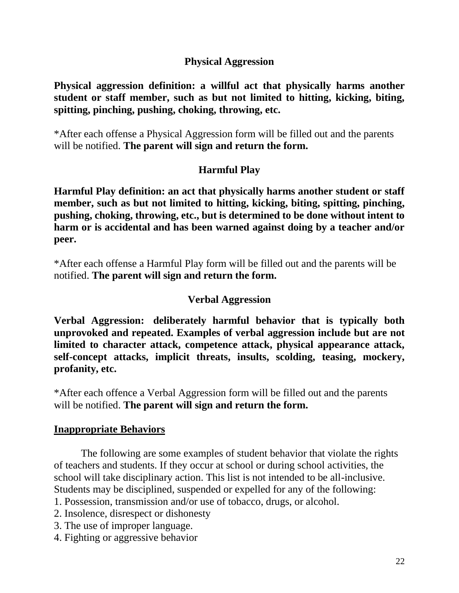### **Physical Aggression**

**Physical aggression definition: a willful act that physically harms another student or staff member, such as but not limited to hitting, kicking, biting, spitting, pinching, pushing, choking, throwing, etc.**

\*After each offense a Physical Aggression form will be filled out and the parents will be notified. **The parent will sign and return the form.**

### **Harmful Play**

**Harmful Play definition: an act that physically harms another student or staff member, such as but not limited to hitting, kicking, biting, spitting, pinching, pushing, choking, throwing, etc., but is determined to be done without intent to harm or is accidental and has been warned against doing by a teacher and/or peer.**

\*After each offense a Harmful Play form will be filled out and the parents will be notified. **The parent will sign and return the form.**

### **Verbal Aggression**

**Verbal Aggression: deliberately harmful behavior that is typically both unprovoked and repeated. Examples of verbal aggression include but are not limited to character attack, competence attack, physical appearance attack, self-concept attacks, implicit threats, insults, scolding, teasing, mockery, profanity, etc.**

\*After each offence a Verbal Aggression form will be filled out and the parents will be notified. **The parent will sign and return the form.**

### **Inappropriate Behaviors**

The following are some examples of student behavior that violate the rights of teachers and students. If they occur at school or during school activities, the school will take disciplinary action. This list is not intended to be all-inclusive. Students may be disciplined, suspended or expelled for any of the following:

- 1. Possession, transmission and/or use of tobacco, drugs, or alcohol.
- 2. Insolence, disrespect or dishonesty
- 3. The use of improper language.
- 4. Fighting or aggressive behavior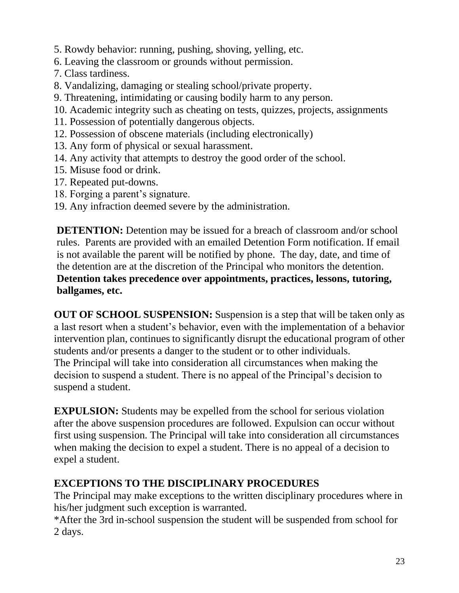- 5. Rowdy behavior: running, pushing, shoving, yelling, etc.
- 6. Leaving the classroom or grounds without permission.
- 7. Class tardiness.
- 8. Vandalizing, damaging or stealing school/private property.
- 9. Threatening, intimidating or causing bodily harm to any person.
- 10. Academic integrity such as cheating on tests, quizzes, projects, assignments
- 11. Possession of potentially dangerous objects.
- 12. Possession of obscene materials (including electronically)
- 13. Any form of physical or sexual harassment.
- 14. Any activity that attempts to destroy the good order of the school.
- 15. Misuse food or drink.
- 17. Repeated put-downs.
- 18. Forging a parent's signature.
- 19. Any infraction deemed severe by the administration.

**DETENTION:** Detention may be issued for a breach of classroom and/or school rules. Parents are provided with an emailed Detention Form notification. If email is not available the parent will be notified by phone. The day, date, and time of the detention are at the discretion of the Principal who monitors the detention. **Detention takes precedence over appointments, practices, lessons, tutoring, ballgames, etc.**

**OUT OF SCHOOL SUSPENSION:** Suspension is a step that will be taken only as a last resort when a student's behavior, even with the implementation of a behavior intervention plan, continues to significantly disrupt the educational program of other students and/or presents a danger to the student or to other individuals. The Principal will take into consideration all circumstances when making the decision to suspend a student. There is no appeal of the Principal's decision to suspend a student.

**EXPULSION:** Students may be expelled from the school for serious violation after the above suspension procedures are followed. Expulsion can occur without first using suspension. The Principal will take into consideration all circumstances when making the decision to expel a student. There is no appeal of a decision to expel a student.

## **EXCEPTIONS TO THE DISCIPLINARY PROCEDURES**

The Principal may make exceptions to the written disciplinary procedures where in his/her judgment such exception is warranted.

\*After the 3rd in-school suspension the student will be suspended from school for 2 days.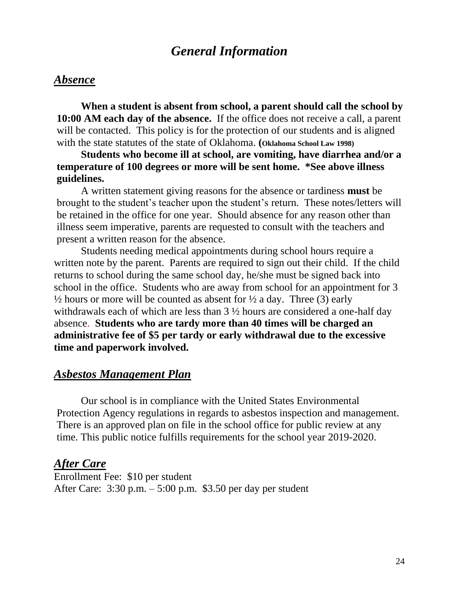## *General Information*

#### *Absence*

**When a student is absent from school, a parent should call the school by 10:00 AM each day of the absence.** If the office does not receive a call, a parent will be contacted. This policy is for the protection of our students and is aligned with the state statutes of the state of Oklahoma. **(Oklahoma School Law 1998)**

**Students who become ill at school, are vomiting, have diarrhea and/or a temperature of 100 degrees or more will be sent home. \*See above illness guidelines.**

A written statement giving reasons for the absence or tardiness **must** be brought to the student's teacher upon the student's return. These notes/letters will be retained in the office for one year. Should absence for any reason other than illness seem imperative, parents are requested to consult with the teachers and present a written reason for the absence.

Students needing medical appointments during school hours require a written note by the parent. Parents are required to sign out their child. If the child returns to school during the same school day, he/she must be signed back into school in the office. Students who are away from school for an appointment for 3  $\frac{1}{2}$  hours or more will be counted as absent for  $\frac{1}{2}$  a day. Three (3) early withdrawals each of which are less than 3 ½ hours are considered a one-half day absence. **Students who are tardy more than 40 times will be charged an administrative fee of \$5 per tardy or early withdrawal due to the excessive time and paperwork involved.**

#### *Asbestos Management Plan*

Our school is in compliance with the United States Environmental Protection Agency regulations in regards to asbestos inspection and management. There is an approved plan on file in the school office for public review at any time. This public notice fulfills requirements for the school year 2019-2020.

#### *After Care*

Enrollment Fee: \$10 per student After Care: 3:30 p.m. – 5:00 p.m. \$3.50 per day per student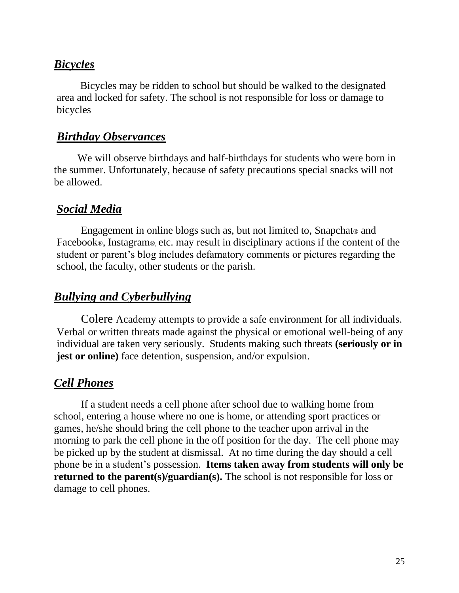### *Bicycles*

 Bicycles may be ridden to school but should be walked to the designated area and locked for safety. The school is not responsible for loss or damage to bicycles

### *Birthday Observances*

 We will observe birthdays and half-birthdays for students who were born in the summer. Unfortunately, because of safety precautions special snacks will not be allowed.

### *Social Media*

Engagement in online blogs such as, but not limited to, Snapchat<sup>®</sup> and Facebook®, Instagram®, etc. may result in disciplinary actions if the content of the student or parent's blog includes defamatory comments or pictures regarding the school, the faculty, other students or the parish.

### *Bullying and Cyberbullying*

Colere Academy attempts to provide a safe environment for all individuals. Verbal or written threats made against the physical or emotional well-being of any individual are taken very seriously. Students making such threats **(seriously or in jest or online**) face detention, suspension, and/or expulsion.

### *Cell Phones*

If a student needs a cell phone after school due to walking home from school, entering a house where no one is home, or attending sport practices or games, he/she should bring the cell phone to the teacher upon arrival in the morning to park the cell phone in the off position for the day. The cell phone may be picked up by the student at dismissal. At no time during the day should a cell phone be in a student's possession. **Items taken away from students will only be returned to the parent(s)/guardian(s).** The school is not responsible for loss or damage to cell phones.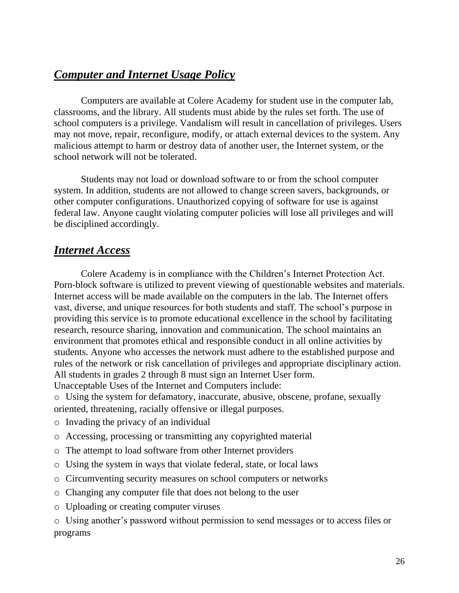## *Computer and Internet Usage Policy*

Computers are available at Colere Academy for student use in the computer lab, classrooms, and the library. All students must abide by the rules set forth. The use of school computers is a privilege. Vandalism will result in cancellation of privileges. Users may not move, repair, reconfigure, modify, or attach external devices to the system. Any malicious attempt to harm or destroy data of another user, the Internet system, or the school network will not be tolerated.

Students may not load or download software to or from the school computer system. In addition, students are not allowed to change screen savers, backgrounds, or other computer configurations. Unauthorized copying of software for use is against federal law. Anyone caught violating computer policies will lose all privileges and will be disciplined accordingly.

### *Internet Access*

Colere Academy is in compliance with the Children's Internet Protection Act. Porn-block software is utilized to prevent viewing of questionable websites and materials. Internet access will be made available on the computers in the lab. The Internet offers vast, diverse, and unique resources for both students and staff. The school's purpose in providing this service is to promote educational excellence in the school by facilitating research, resource sharing, innovation and communication. The school maintains an environment that promotes ethical and responsible conduct in all online activities by students. Anyone who accesses the network must adhere to the established purpose and rules of the network or risk cancellation of privileges and appropriate disciplinary action. All students in grades 2 through 8 must sign an Internet User form.

Unacceptable Uses of the Internet and Computers include:

o Using the system for defamatory, inaccurate, abusive, obscene, profane, sexually oriented, threatening, racially offensive or illegal purposes.

- o Invading the privacy of an individual
- o Accessing, processing or transmitting any copyrighted material
- o The attempt to load software from other Internet providers
- o Using the system in ways that violate federal, state, or local laws
- o Circumventing security measures on school computers or networks
- o Changing any computer file that does not belong to the user
- o Uploading or creating computer viruses

o Using another's password without permission to send messages or to access files or programs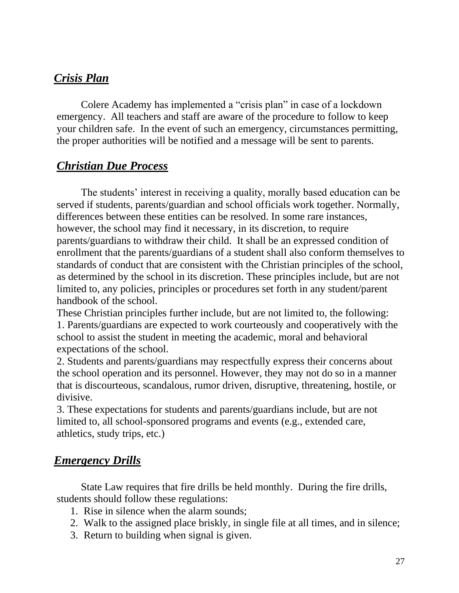### *Crisis Plan*

Colere Academy has implemented a "crisis plan" in case of a lockdown emergency. All teachers and staff are aware of the procedure to follow to keep your children safe. In the event of such an emergency, circumstances permitting, the proper authorities will be notified and a message will be sent to parents.

### *Christian Due Process*

The students' interest in receiving a quality, morally based education can be served if students, parents/guardian and school officials work together. Normally, differences between these entities can be resolved. In some rare instances, however, the school may find it necessary, in its discretion, to require parents/guardians to withdraw their child. It shall be an expressed condition of enrollment that the parents/guardians of a student shall also conform themselves to standards of conduct that are consistent with the Christian principles of the school, as determined by the school in its discretion. These principles include, but are not limited to, any policies, principles or procedures set forth in any student/parent handbook of the school.

These Christian principles further include, but are not limited to, the following: 1. Parents/guardians are expected to work courteously and cooperatively with the school to assist the student in meeting the academic, moral and behavioral expectations of the school.

2. Students and parents/guardians may respectfully express their concerns about the school operation and its personnel. However, they may not do so in a manner that is discourteous, scandalous, rumor driven, disruptive, threatening, hostile, or divisive.

3. These expectations for students and parents/guardians include, but are not limited to, all school-sponsored programs and events (e.g., extended care, athletics, study trips, etc.)

### *Emergency Drills*

State Law requires that fire drills be held monthly. During the fire drills, students should follow these regulations:

- 1. Rise in silence when the alarm sounds;
- 2. Walk to the assigned place briskly, in single file at all times, and in silence;
- 3. Return to building when signal is given.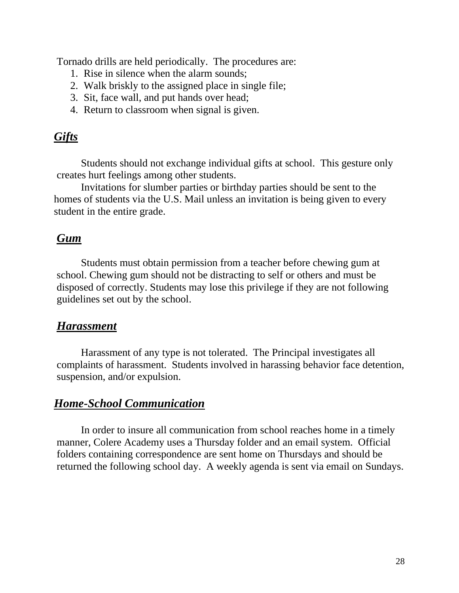Tornado drills are held periodically. The procedures are:

- 1. Rise in silence when the alarm sounds;
- 2. Walk briskly to the assigned place in single file;
- 3. Sit, face wall, and put hands over head;
- 4. Return to classroom when signal is given.

### *Gifts*

Students should not exchange individual gifts at school. This gesture only creates hurt feelings among other students.

Invitations for slumber parties or birthday parties should be sent to the homes of students via the U.S. Mail unless an invitation is being given to every student in the entire grade.

### *Gum*

Students must obtain permission from a teacher before chewing gum at school. Chewing gum should not be distracting to self or others and must be disposed of correctly. Students may lose this privilege if they are not following guidelines set out by the school.

#### *Harassment*

Harassment of any type is not tolerated. The Principal investigates all complaints of harassment. Students involved in harassing behavior face detention, suspension, and/or expulsion.

### *Home-School Communication*

In order to insure all communication from school reaches home in a timely manner, Colere Academy uses a Thursday folder and an email system. Official folders containing correspondence are sent home on Thursdays and should be returned the following school day. A weekly agenda is sent via email on Sundays.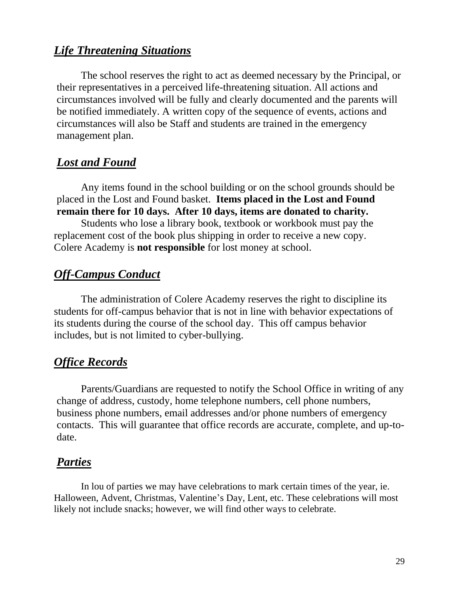### *Life Threatening Situations*

The school reserves the right to act as deemed necessary by the Principal, or their representatives in a perceived life-threatening situation. All actions and circumstances involved will be fully and clearly documented and the parents will be notified immediately. A written copy of the sequence of events, actions and circumstances will also be Staff and students are trained in the emergency management plan.

### *Lost and Found*

Any items found in the school building or on the school grounds should be placed in the Lost and Found basket. **Items placed in the Lost and Found remain there for 10 days. After 10 days, items are donated to charity.**

Students who lose a library book, textbook or workbook must pay the replacement cost of the book plus shipping in order to receive a new copy. Colere Academy is **not responsible** for lost money at school.

## *Off-Campus Conduct*

The administration of Colere Academy reserves the right to discipline its students for off-campus behavior that is not in line with behavior expectations of its students during the course of the school day. This off campus behavior includes, but is not limited to cyber-bullying.

### *Office Records*

Parents/Guardians are requested to notify the School Office in writing of any change of address, custody, home telephone numbers, cell phone numbers, business phone numbers, email addresses and/or phone numbers of emergency contacts. This will guarantee that office records are accurate, complete, and up-todate.

### *Parties*

In lou of parties we may have celebrations to mark certain times of the year, ie. Halloween, Advent, Christmas, Valentine's Day, Lent, etc. These celebrations will most likely not include snacks; however, we will find other ways to celebrate.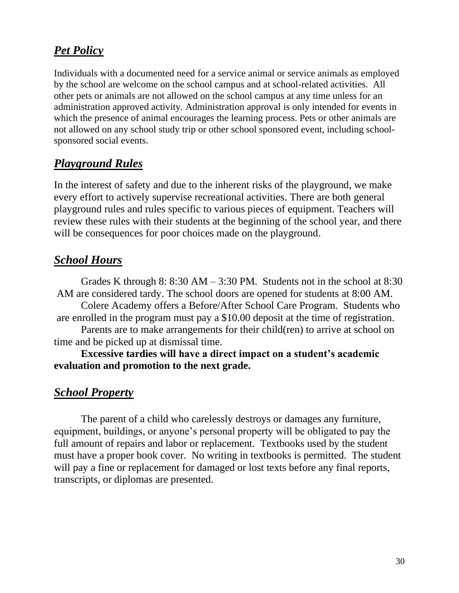## *Pet Policy*

Individuals with a documented need for a service animal or service animals as employed by the school are welcome on the school campus and at school-related activities. All other pets or animals are not allowed on the school campus at any time unless for an administration approved activity. Administration approval is only intended for events in which the presence of animal encourages the learning process. Pets or other animals are not allowed on any school study trip or other school sponsored event, including schoolsponsored social events.

## *Playground Rules*

In the interest of safety and due to the inherent risks of the playground, we make every effort to actively supervise recreational activities. There are both general playground rules and rules specific to various pieces of equipment. Teachers will review these rules with their students at the beginning of the school year, and there will be consequences for poor choices made on the playground.

### *School Hours*

Grades K through 8:  $8:30$  AM  $- 3:30$  PM. Students not in the school at  $8:30$ AM are considered tardy. The school doors are opened for students at 8:00 AM.

Colere Academy offers a Before/After School Care Program. Students who are enrolled in the program must pay a \$10.00 deposit at the time of registration.

Parents are to make arrangements for their child(ren) to arrive at school on time and be picked up at dismissal time.

**Excessive tardies will have a direct impact on a student's academic evaluation and promotion to the next grade.**

### *School Property*

The parent of a child who carelessly destroys or damages any furniture, equipment, buildings, or anyone's personal property will be obligated to pay the full amount of repairs and labor or replacement. Textbooks used by the student must have a proper book cover. No writing in textbooks is permitted. The student will pay a fine or replacement for damaged or lost texts before any final reports, transcripts, or diplomas are presented.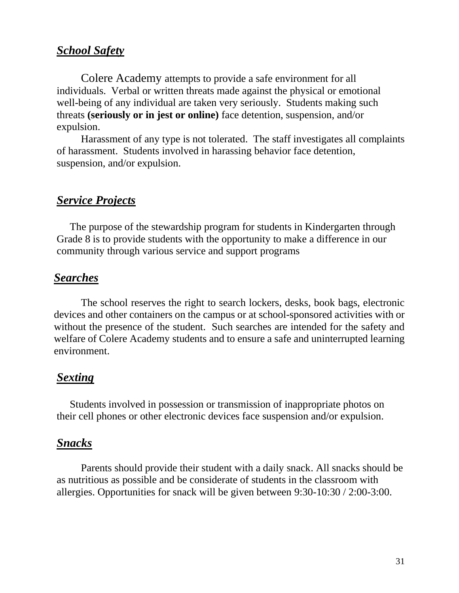### *School Safety*

Colere Academy attempts to provide a safe environment for all individuals. Verbal or written threats made against the physical or emotional well-being of any individual are taken very seriously. Students making such threats **(seriously or in jest or online)** face detention, suspension, and/or expulsion.

Harassment of any type is not tolerated. The staff investigates all complaints of harassment. Students involved in harassing behavior face detention, suspension, and/or expulsion.

### *Service Projects*

 The purpose of the stewardship program for students in Kindergarten through Grade 8 is to provide students with the opportunity to make a difference in our community through various service and support programs

### *Searches*

The school reserves the right to search lockers, desks, book bags, electronic devices and other containers on the campus or at school-sponsored activities with or without the presence of the student. Such searches are intended for the safety and welfare of Colere Academy students and to ensure a safe and uninterrupted learning environment.

### *Sexting*

 Students involved in possession or transmission of inappropriate photos on their cell phones or other electronic devices face suspension and/or expulsion.

#### *Snacks*

Parents should provide their student with a daily snack. All snacks should be as nutritious as possible and be considerate of students in the classroom with allergies. Opportunities for snack will be given between 9:30-10:30 / 2:00-3:00.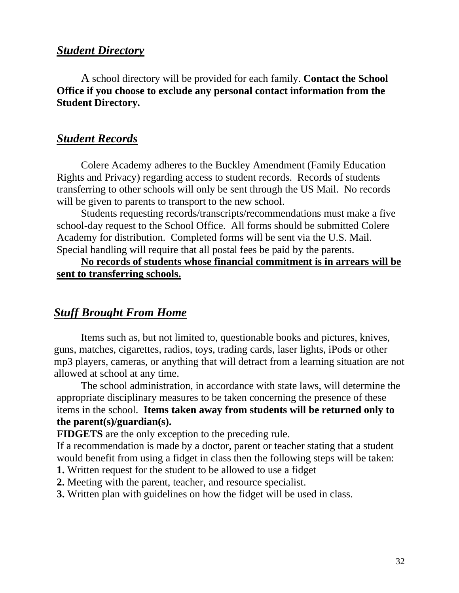### *Student Directory*

A school directory will be provided for each family. **Contact the School Office if you choose to exclude any personal contact information from the Student Directory.** 

### *Student Records*

Colere Academy adheres to the Buckley Amendment (Family Education Rights and Privacy) regarding access to student records. Records of students transferring to other schools will only be sent through the US Mail. No records will be given to parents to transport to the new school.

Students requesting records/transcripts/recommendations must make a five school-day request to the School Office. All forms should be submitted Colere Academy for distribution. Completed forms will be sent via the U.S. Mail. Special handling will require that all postal fees be paid by the parents.

#### **No records of students whose financial commitment is in arrears will be sent to transferring schools.**

### *Stuff Brought From Home*

Items such as, but not limited to, questionable books and pictures, knives, guns, matches, cigarettes, radios, toys, trading cards, laser lights, iPods or other mp3 players, cameras, or anything that will detract from a learning situation are not allowed at school at any time.

The school administration, in accordance with state laws, will determine the appropriate disciplinary measures to be taken concerning the presence of these items in the school. **Items taken away from students will be returned only to the parent(s)/guardian(s).**

**FIDGETS** are the only exception to the preceding rule.

If a recommendation is made by a doctor, parent or teacher stating that a student would benefit from using a fidget in class then the following steps will be taken:

- **1.** Written request for the student to be allowed to use a fidget
- **2.** Meeting with the parent, teacher, and resource specialist.
- **3.** Written plan with guidelines on how the fidget will be used in class.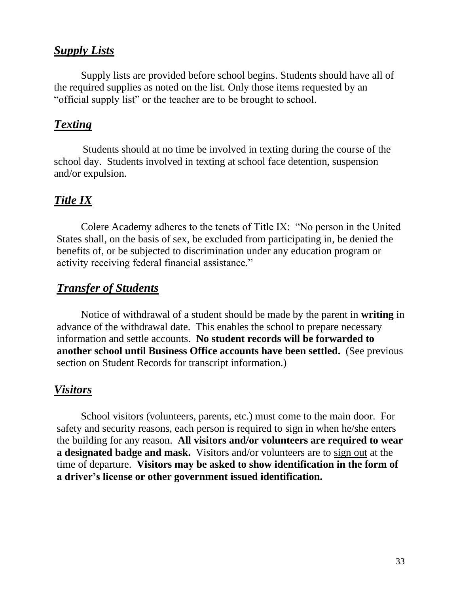### *Supply Lists*

Supply lists are provided before school begins. Students should have all of the required supplies as noted on the list*.* Only those items requested by an "official supply list" or the teacher are to be brought to school.

### *Texting*

Students should at no time be involved in texting during the course of the school day. Students involved in texting at school face detention, suspension and/or expulsion.

### *Title IX*

Colere Academy adheres to the tenets of Title IX: "No person in the United States shall, on the basis of sex, be excluded from participating in, be denied the benefits of, or be subjected to discrimination under any education program or activity receiving federal financial assistance."

### *Transfer of Students*

Notice of withdrawal of a student should be made by the parent in **writing** in advance of the withdrawal date. This enables the school to prepare necessary information and settle accounts. **No student records will be forwarded to another school until Business Office accounts have been settled.** (See previous section on Student Records for transcript information.)

### *Visitors*

School visitors (volunteers, parents, etc.) must come to the main door. For safety and security reasons, each person is required to sign in when he/she enters the building for any reason. **All visitors and/or volunteers are required to wear a designated badge and mask.** Visitors and/or volunteers are to sign out at the time of departure. **Visitors may be asked to show identification in the form of a driver's license or other government issued identification.**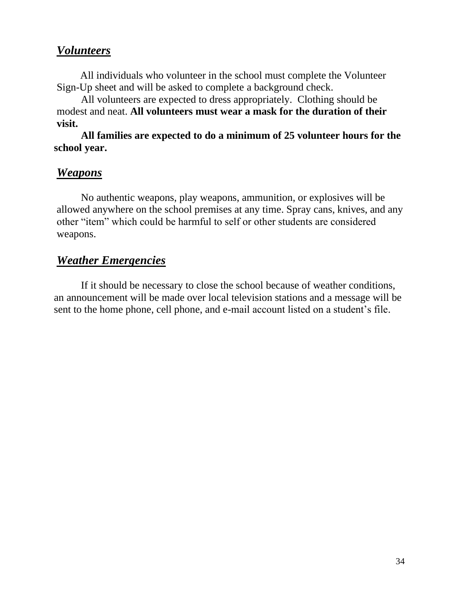### *Volunteers*

 All individuals who volunteer in the school must complete the Volunteer Sign-Up sheet and will be asked to complete a background check.

All volunteers are expected to dress appropriately. Clothing should be modest and neat. **All volunteers must wear a mask for the duration of their visit.**

**All families are expected to do a minimum of 25 volunteer hours for the school year.**

### *Weapons*

No authentic weapons, play weapons, ammunition, or explosives will be allowed anywhere on the school premises at any time. Spray cans, knives, and any other "item" which could be harmful to self or other students are considered weapons.

### *Weather Emergencies*

If it should be necessary to close the school because of weather conditions, an announcement will be made over local television stations and a message will be sent to the home phone, cell phone, and e-mail account listed on a student's file.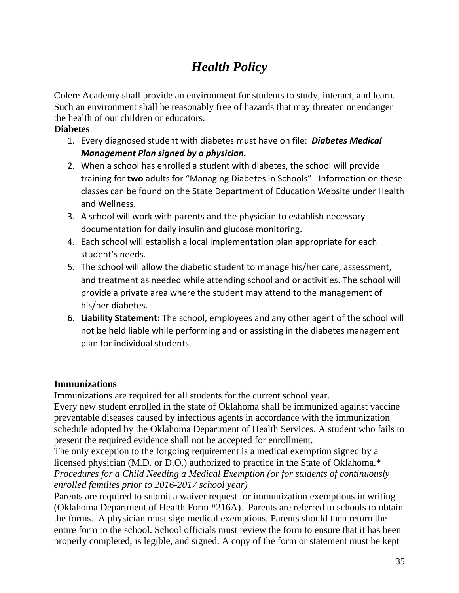## *Health Policy*

Colere Academy shall provide an environment for students to study, interact, and learn. Such an environment shall be reasonably free of hazards that may threaten or endanger the health of our children or educators.

#### **Diabetes**

- 1. Every diagnosed student with diabetes must have on file: *Diabetes Medical Management Plan signed by a physician.*
- 2. When a school has enrolled a student with diabetes, the school will provide training for **two** adults for "Managing Diabetes in Schools". Information on these classes can be found on the State Department of Education Website under Health and Wellness.
- 3. A school will work with parents and the physician to establish necessary documentation for daily insulin and glucose monitoring.
- 4. Each school will establish a local implementation plan appropriate for each student's needs.
- 5. The school will allow the diabetic student to manage his/her care, assessment, and treatment as needed while attending school and or activities. The school will provide a private area where the student may attend to the management of his/her diabetes.
- 6. **Liability Statement:** The school, employees and any other agent of the school will not be held liable while performing and or assisting in the diabetes management plan for individual students.

#### **Immunizations**

Immunizations are required for all students for the current school year.

Every new student enrolled in the state of Oklahoma shall be immunized against vaccine preventable diseases caused by infectious agents in accordance with the immunization schedule adopted by the Oklahoma Department of Health Services. A student who fails to present the required evidence shall not be accepted for enrollment.

The only exception to the forgoing requirement is a medical exemption signed by a licensed physician (M.D. or D.O.) authorized to practice in the State of Oklahoma.\* *Procedures for a Child Needing a Medical Exemption (or for students of continuously enrolled families prior to 2016-2017 school year)*

Parents are required to submit a waiver request for immunization exemptions in writing (Oklahoma Department of Health Form #216A). Parents are referred to schools to obtain the forms. A physician must sign medical exemptions. Parents should then return the entire form to the school. School officials must review the form to ensure that it has been properly completed, is legible, and signed. A copy of the form or statement must be kept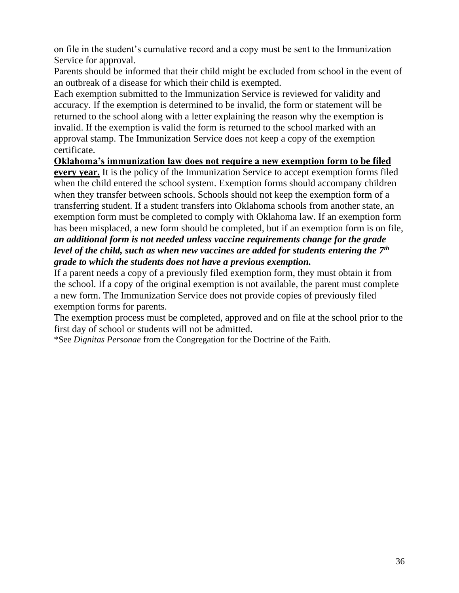on file in the student's cumulative record and a copy must be sent to the Immunization Service for approval.

Parents should be informed that their child might be excluded from school in the event of an outbreak of a disease for which their child is exempted.

Each exemption submitted to the Immunization Service is reviewed for validity and accuracy. If the exemption is determined to be invalid, the form or statement will be returned to the school along with a letter explaining the reason why the exemption is invalid. If the exemption is valid the form is returned to the school marked with an approval stamp. The Immunization Service does not keep a copy of the exemption certificate.

**Oklahoma's immunization law does not require a new exemption form to be filed every year.** It is the policy of the Immunization Service to accept exemption forms filed when the child entered the school system. Exemption forms should accompany children when they transfer between schools. Schools should not keep the exemption form of a transferring student. If a student transfers into Oklahoma schools from another state, an exemption form must be completed to comply with Oklahoma law. If an exemption form has been misplaced, a new form should be completed, but if an exemption form is on file, *an additional form is not needed unless vaccine requirements change for the grade level of the child, such as when new vaccines are added for students entering the 7th grade to which the students does not have a previous exemption.*

If a parent needs a copy of a previously filed exemption form, they must obtain it from the school. If a copy of the original exemption is not available, the parent must complete a new form. The Immunization Service does not provide copies of previously filed exemption forms for parents.

The exemption process must be completed, approved and on file at the school prior to the first day of school or students will not be admitted.

\*See *Dignitas Personae* from the Congregation for the Doctrine of the Faith.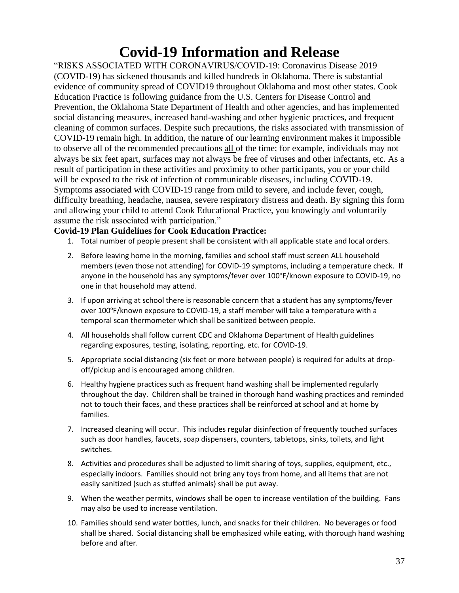## **Covid-19 Information and Release**

"RISKS ASSOCIATED WITH CORONAVIRUS/COVID-19: Coronavirus Disease 2019 (COVID-19) has sickened thousands and killed hundreds in Oklahoma. There is substantial evidence of community spread of COVID19 throughout Oklahoma and most other states. Cook Education Practice is following guidance from the U.S. Centers for Disease Control and Prevention, the Oklahoma State Department of Health and other agencies, and has implemented social distancing measures, increased hand-washing and other hygienic practices, and frequent cleaning of common surfaces. Despite such precautions, the risks associated with transmission of COVID-19 remain high. In addition, the nature of our learning environment makes it impossible to observe all of the recommended precautions all of the time; for example, individuals may not always be six feet apart, surfaces may not always be free of viruses and other infectants, etc. As a result of participation in these activities and proximity to other participants, you or your child will be exposed to the risk of infection of communicable diseases, including COVID-19. Symptoms associated with COVID-19 range from mild to severe, and include fever, cough, difficulty breathing, headache, nausea, severe respiratory distress and death. By signing this form and allowing your child to attend Cook Educational Practice, you knowingly and voluntarily assume the risk associated with participation."

#### **Covid-19 Plan Guidelines for Cook Education Practice:**

- 1. Total number of people present shall be consistent with all applicable state and local orders.
- 2. Before leaving home in the morning, families and school staff must screen ALL household members (even those not attending) for COVID-19 symptoms, including a temperature check. If anyone in the household has any symptoms/fever over 100ºF/known exposure to COVID-19, no one in that household may attend.
- 3. If upon arriving at school there is reasonable concern that a student has any symptoms/fever over 100ºF/known exposure to COVID-19, a staff member will take a temperature with a temporal scan thermometer which shall be sanitized between people.
- 4. All households shall follow current CDC and Oklahoma Department of Health guidelines regarding exposures, testing, isolating, reporting, etc. for COVID-19.
- 5. Appropriate social distancing (six feet or more between people) is required for adults at dropoff/pickup and is encouraged among children.
- 6. Healthy hygiene practices such as frequent hand washing shall be implemented regularly throughout the day. Children shall be trained in thorough hand washing practices and reminded not to touch their faces, and these practices shall be reinforced at school and at home by families.
- 7. Increased cleaning will occur. This includes regular disinfection of frequently touched surfaces such as door handles, faucets, soap dispensers, counters, tabletops, sinks, toilets, and light switches.
- 8. Activities and procedures shall be adjusted to limit sharing of toys, supplies, equipment, etc., especially indoors. Families should not bring any toys from home, and all items that are not easily sanitized (such as stuffed animals) shall be put away.
- 9. When the weather permits, windows shall be open to increase ventilation of the building. Fans may also be used to increase ventilation.
- 10. Families should send water bottles, lunch, and snacks for their children. No beverages or food shall be shared. Social distancing shall be emphasized while eating, with thorough hand washing before and after.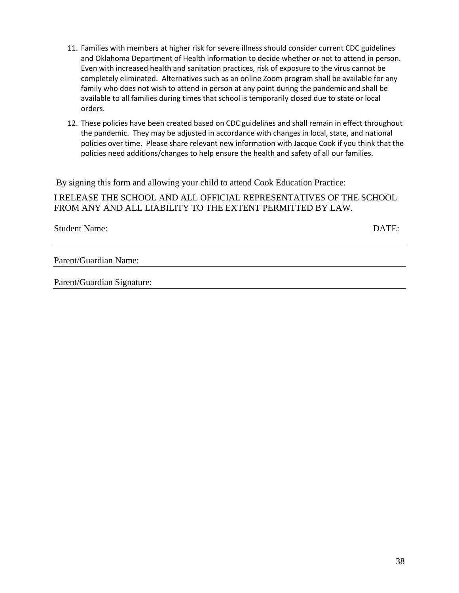- 11. Families with members at higher risk for severe illness should consider current CDC guidelines and Oklahoma Department of Health information to decide whether or not to attend in person. Even with increased health and sanitation practices, risk of exposure to the virus cannot be completely eliminated. Alternatives such as an online Zoom program shall be available for any family who does not wish to attend in person at any point during the pandemic and shall be available to all families during times that school is temporarily closed due to state or local orders.
- 12. These policies have been created based on CDC guidelines and shall remain in effect throughout the pandemic. They may be adjusted in accordance with changes in local, state, and national policies over time. Please share relevant new information with Jacque Cook if you think that the policies need additions/changes to help ensure the health and safety of all our families.

By signing this form and allowing your child to attend Cook Education Practice:

I RELEASE THE SCHOOL AND ALL OFFICIAL REPRESENTATIVES OF THE SCHOOL FROM ANY AND ALL LIABILITY TO THE EXTENT PERMITTED BY LAW.

Student Name:  $DATE:$ 

Parent/Guardian Name:

Parent/Guardian Signature: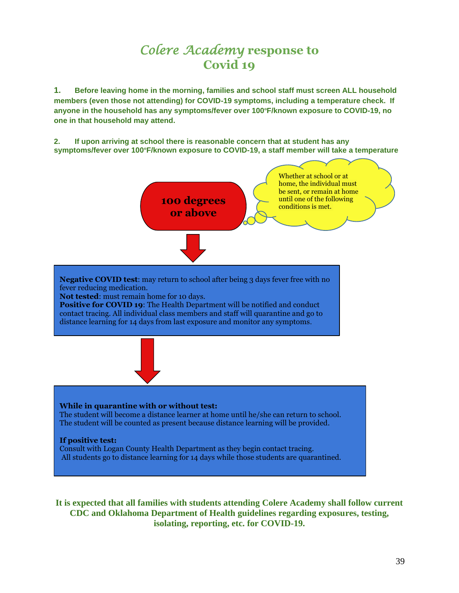## *Colere Academy* **response to Covid 19**

**1. Before leaving home in the morning, families and school staff must screen ALL household members (even those not attending) for COVID-19 symptoms, including a temperature check. If anyone in the household has any symptoms/fever over 100ºF/known exposure to COVID-19, no one in that household may attend.** 

**2. If upon arriving at school there is reasonable concern that at student has any symptoms/fever over 100ºF/known exposure to COVID-19, a staff member will take a temperature**



**It is expected that all families with students attending Colere Academy shall follow current CDC and Oklahoma Department of Health guidelines regarding exposures, testing, isolating, reporting, etc. for COVID-19.**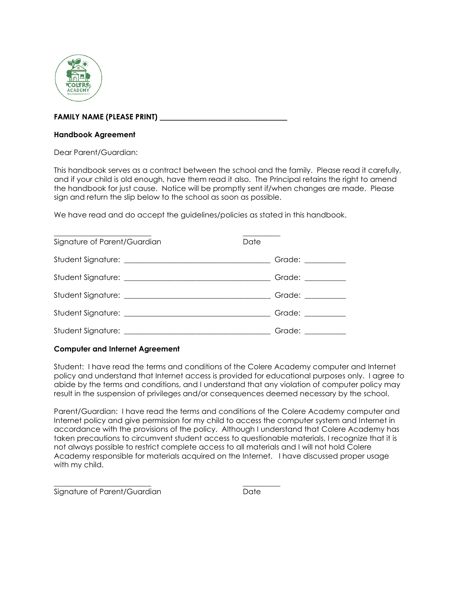

#### **FAMILY NAME (PLEASE PRINT) \_\_\_\_\_\_\_\_\_\_\_\_\_\_\_\_\_\_\_\_\_\_\_\_\_\_\_\_\_\_\_\_\_\_**

#### **Handbook Agreement**

Dear Parent/Guardian:

This handbook serves as a contract between the school and the family. Please read it carefully, and if your child is old enough, have them read it also. The Principal retains the right to amend the handbook for just cause. Notice will be promptly sent if/when changes are made. Please sign and return the slip below to the school as soon as possible.

We have read and do accept the guidelines/policies as stated in this handbook.

| Signature of Parent/Guardian | Date              |
|------------------------------|-------------------|
|                              | Grade: _________  |
|                              | Grade: __________ |
|                              | Grade: __________ |
|                              | Grade: _________  |
|                              | Grade: __________ |

#### **Computer and Internet Agreement**

Student: I have read the terms and conditions of the Colere Academy computer and Internet policy and understand that Internet access is provided for educational purposes only. I agree to abide by the terms and conditions, and I understand that any violation of computer policy may result in the suspension of privileges and/or consequences deemed necessary by the school.

Parent/Guardian: I have read the terms and conditions of the Colere Academy computer and Internet policy and give permission for my child to access the computer system and Internet in accordance with the provisions of the policy. Although I understand that Colere Academy has taken precautions to circumvent student access to questionable materials, I recognize that it is not always possible to restrict complete access to all materials and I will not hold Colere Academy responsible for materials acquired on the Internet. I have discussed proper usage with my child.

\_\_\_\_\_\_\_\_\_\_\_\_\_\_\_\_\_\_\_\_\_\_\_\_\_\_ \_\_\_\_\_\_\_\_\_\_ Signature of Parent/Guardian and Date Date